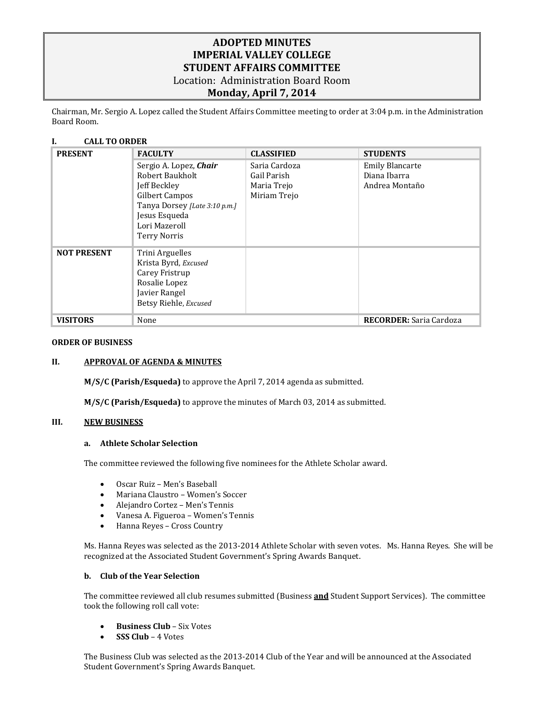# **ADOPTED MINUTES IMPERIAL VALLEY COLLEGE STUDENT AFFAIRS COMMITTEE** Location: Administration Board Room **Monday, April 7, 2014**

Chairman, Mr. Sergio A. Lopez called the Student Affairs Committee meeting to order at 3:04 p.m. in the Administration Board Room.

### **I. CALL TO ORDER**

| <b>PRESENT</b>     | <b>FACULTY</b>                | <b>CLASSIFIED</b> | <b>STUDENTS</b>                |
|--------------------|-------------------------------|-------------------|--------------------------------|
|                    | Sergio A. Lopez, Chair        | Saria Cardoza     | <b>Emily Blancarte</b>         |
|                    | Robert Baukholt               | Gail Parish       | Diana Ibarra                   |
|                    | Jeff Beckley                  | Maria Trejo       | Andrea Montaño                 |
|                    | Gilbert Campos                | Miriam Trejo      |                                |
|                    | Tanya Dorsey [Late 3:10 p.m.] |                   |                                |
|                    | Jesus Esqueda                 |                   |                                |
|                    | Lori Mazeroll                 |                   |                                |
|                    | <b>Terry Norris</b>           |                   |                                |
| <b>NOT PRESENT</b> | Trini Arguelles               |                   |                                |
|                    | Krista Byrd, Excused          |                   |                                |
|                    | Carey Fristrup                |                   |                                |
|                    | Rosalie Lopez                 |                   |                                |
|                    | Javier Rangel                 |                   |                                |
|                    | Betsy Riehle, Excused         |                   |                                |
| <b>VISITORS</b>    | None                          |                   | <b>RECORDER:</b> Saria Cardoza |

#### **ORDER OF BUSINESS**

### **II. APPROVAL OF AGENDA & MINUTES**

**M/S/C (Parish/Esqueda)** to approve the April 7, 2014 agenda as submitted.

**M/S/C (Parish/Esqueda)** to approve the minutes of March 03, 2014 as submitted.

# **III. NEW BUSINESS**

# **a. Athlete Scholar Selection**

The committee reviewed the following five nominees for the Athlete Scholar award.

- Oscar Ruiz Men's Baseball
- Mariana Claustro Women's Soccer
- Alejandro Cortez Men's Tennis
- Vanesa A. Figueroa Women's Tennis
- Hanna Reyes Cross Country

Ms. Hanna Reyes was selected as the 2013-2014 Athlete Scholar with seven votes. Ms. Hanna Reyes. She will be recognized at the Associated Student Government's Spring Awards Banquet.

### **b. Club of the Year Selection**

The committee reviewed all club resumes submitted (Business **and** Student Support Services). The committee took the following roll call vote:

- **Business Club** Six Votes
- **SSS Club** 4 Votes

The Business Club was selected as the 2013-2014 Club of the Year and will be announced at the Associated Student Government's Spring Awards Banquet.